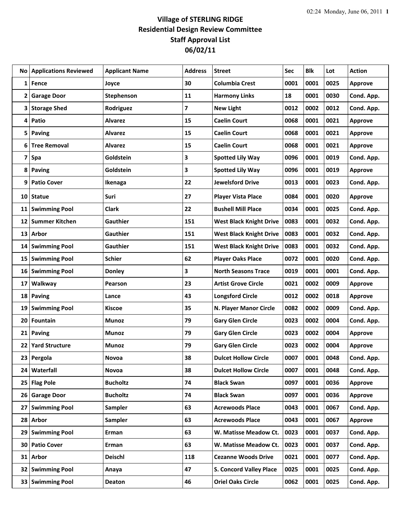## **Village of STERLING RIDGE Residential Design Review Committee Staff Approval List 06/02/11**

| No. | <b>Applications Reviewed</b> | <b>Applicant Name</b> | <b>Address</b> | <b>Street</b>                  | Sec  | Blk  | Lot  | <b>Action</b>  |
|-----|------------------------------|-----------------------|----------------|--------------------------------|------|------|------|----------------|
| 1   | Fence                        | Joyce                 | 30             | <b>Columbia Crest</b>          | 0001 | 0001 | 0025 | Approve        |
| 2   | <b>Garage Door</b>           | Stephenson            | 11             | <b>Harmony Links</b>           | 18   | 0001 | 0030 | Cond. App.     |
| 3   | <b>Storage Shed</b>          | Rodriguez             | 7              | <b>New Light</b>               | 0012 | 0002 | 0012 | Cond. App.     |
| 4   | Patio                        | <b>Alvarez</b>        | 15             | <b>Caelin Court</b>            | 0068 | 0001 | 0021 | <b>Approve</b> |
| 5   | Paving                       | <b>Alvarez</b>        | 15             | <b>Caelin Court</b>            | 0068 | 0001 | 0021 | <b>Approve</b> |
| 6   | <b>Tree Removal</b>          | <b>Alvarez</b>        | 15             | <b>Caelin Court</b>            | 0068 | 0001 | 0021 | <b>Approve</b> |
| 7   | Spa                          | Goldstein             | 3              | <b>Spotted Lily Way</b>        | 0096 | 0001 | 0019 | Cond. App.     |
| 8   | <b>Paving</b>                | Goldstein             | 3              | <b>Spotted Lily Way</b>        | 0096 | 0001 | 0019 | <b>Approve</b> |
| 9   | <b>Patio Cover</b>           | Ikenaga               | 22             | <b>Jewelsford Drive</b>        | 0013 | 0001 | 0023 | Cond. App.     |
| 10  | <b>Statue</b>                | Suri                  | 27             | <b>Player Vista Place</b>      | 0084 | 0001 | 0020 | Approve        |
| 11  | <b>Swimming Pool</b>         | <b>Clark</b>          | 22             | <b>Bushell Mill Place</b>      | 0034 | 0001 | 0025 | Cond. App.     |
| 12  | <b>Summer Kitchen</b>        | Gauthier              | 151            | <b>West Black Knight Drive</b> | 0083 | 0001 | 0032 | Cond. App.     |
| 13  | Arbor                        | Gauthier              | 151            | <b>West Black Knight Drive</b> | 0083 | 0001 | 0032 | Cond. App.     |
| 14  | <b>Swimming Pool</b>         | <b>Gauthier</b>       | 151            | <b>West Black Knight Drive</b> | 0083 | 0001 | 0032 | Cond. App.     |
| 15  | <b>Swimming Pool</b>         | <b>Schier</b>         | 62             | <b>Player Oaks Place</b>       | 0072 | 0001 | 0020 | Cond. App.     |
| 16  | <b>Swimming Pool</b>         | <b>Donley</b>         | 3              | <b>North Seasons Trace</b>     | 0019 | 0001 | 0001 | Cond. App.     |
| 17  | Walkway                      | Pearson               | 23             | <b>Artist Grove Circle</b>     | 0021 | 0002 | 0009 | <b>Approve</b> |
| 18  | <b>Paving</b>                | Lance                 | 43             | <b>Longsford Circle</b>        | 0012 | 0002 | 0018 | <b>Approve</b> |
| 19  | <b>Swimming Pool</b>         | <b>Kiscoe</b>         | 35             | N. Player Manor Circle         | 0082 | 0002 | 0009 | Cond. App.     |
| 20  | Fountain                     | Munoz                 | 79             | <b>Gary Glen Circle</b>        | 0023 | 0002 | 0004 | Cond. App.     |
| 21  | <b>Paving</b>                | Munoz                 | 79             | <b>Gary Glen Circle</b>        | 0023 | 0002 | 0004 | <b>Approve</b> |
| 22  | <b>Yard Structure</b>        | <b>Munoz</b>          | 79             | <b>Gary Glen Circle</b>        | 0023 | 0002 | 0004 | <b>Approve</b> |
| 23  | Pergola                      | Novoa                 | 38             | <b>Dulcet Hollow Circle</b>    | 0007 | 0001 | 0048 | Cond. App.     |
| 24  | Waterfall                    | Novoa                 | 38             | <b>Dulcet Hollow Circle</b>    | 0007 | 0001 | 0048 | Cond. App.     |
|     | 25 Flag Pole                 | <b>Bucholtz</b>       | 74             | <b>Black Swan</b>              | 0097 | 0001 | 0036 | <b>Approve</b> |
| 26  | <b>Garage Door</b>           | <b>Bucholtz</b>       | 74             | <b>Black Swan</b>              | 0097 | 0001 | 0036 | <b>Approve</b> |
| 27  | <b>Swimming Pool</b>         | <b>Sampler</b>        | 63             | <b>Acrewoods Place</b>         | 0043 | 0001 | 0067 | Cond. App.     |
| 28  | Arbor                        | <b>Sampler</b>        | 63             | <b>Acrewoods Place</b>         | 0043 | 0001 | 0067 | <b>Approve</b> |
| 29  | <b>Swimming Pool</b>         | Erman                 | 63             | W. Matisse Meadow Ct.          | 0023 | 0001 | 0037 | Cond. App.     |
| 30  | <b>Patio Cover</b>           | Erman                 | 63             | W. Matisse Meadow Ct.          | 0023 | 0001 | 0037 | Cond. App.     |
| 31  | <b>Arbor</b>                 | <b>Deischl</b>        | 118            | <b>Cezanne Woods Drive</b>     | 0021 | 0001 | 0077 | Cond. App.     |
|     | 32 Swimming Pool             | Anaya                 | 47             | <b>S. Concord Valley Place</b> | 0025 | 0001 | 0025 | Cond. App.     |
|     | 33 Swimming Pool             | <b>Deaton</b>         | 46             | <b>Oriel Oaks Circle</b>       | 0062 | 0001 | 0025 | Cond. App.     |